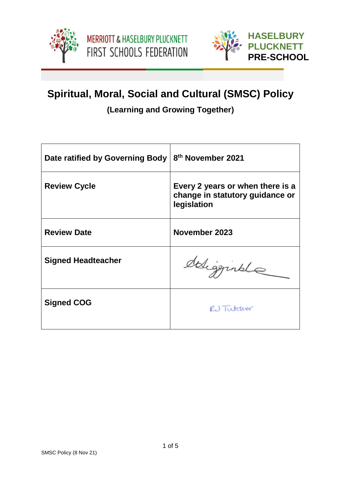



# **Spiritual, Moral, Social and Cultural (SMSC) Policy**

**(Learning and Growing Together)**

| Date ratified by Governing Body | 8 <sup>th</sup> November 2021                                                      |
|---------------------------------|------------------------------------------------------------------------------------|
| <b>Review Cycle</b>             | Every 2 years or when there is a<br>change in statutory guidance or<br>legislation |
| <b>Review Date</b>              | November 2023                                                                      |
| <b>Signed Headteacher</b>       | deligginale                                                                        |
| <b>Signed COG</b>               | RU Tutcher                                                                         |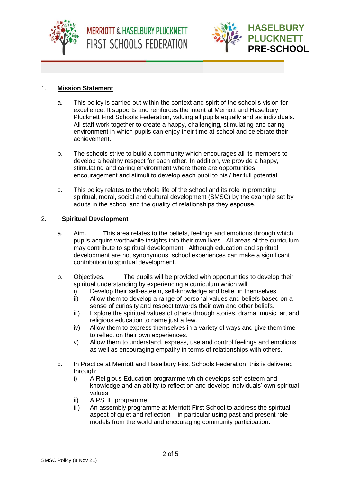



### 1. **Mission Statement**

- a. This policy is carried out within the context and spirit of the school's vision for excellence. It supports and reinforces the intent at Merriott and Haselbury Plucknett First Schools Federation, valuing all pupils equally and as individuals. All staff work together to create a happy, challenging, stimulating and caring environment in which pupils can enjoy their time at school and celebrate their achievement.
- b. The schools strive to build a community which encourages all its members to develop a healthy respect for each other. In addition, we provide a happy, stimulating and caring environment where there are opportunities, encouragement and stimuli to develop each pupil to his / her full potential.
- c. This policy relates to the whole life of the school and its role in promoting spiritual, moral, social and cultural development (SMSC) by the example set by adults in the school and the quality of relationships they espouse.

#### 2. **Spiritual Development**

- a. Aim. This area relates to the beliefs, feelings and emotions through which pupils acquire worthwhile insights into their own lives. All areas of the curriculum may contribute to spiritual development. Although education and spiritual development are not synonymous, school experiences can make a significant contribution to spiritual development.
- b. Objectives. The pupils will be provided with opportunities to develop their spiritual understanding by experiencing a curriculum which will:
	- i) Develop their self-esteem, self-knowledge and belief in themselves.
	- ii) Allow them to develop a range of personal values and beliefs based on a sense of curiosity and respect towards their own and other beliefs.
	- iii) Explore the spiritual values of others through stories, drama, music, art and religious education to name just a few.
	- iv) Allow them to express themselves in a variety of ways and give them time to reflect on their own experiences.
	- v) Allow them to understand, express, use and control feelings and emotions as well as encouraging empathy in terms of relationships with others.
- c. In Practice at Merriott and Haselbury First Schools Federation, this is delivered through:
	- i) A Religious Education programme which develops self-esteem and knowledge and an ability to reflect on and develop individuals' own spiritual values.
	- ii) A PSHE programme.
	- iii) An assembly programme at Merriott First School to address the spiritual aspect of quiet and reflection – in particular using past and present role models from the world and encouraging community participation.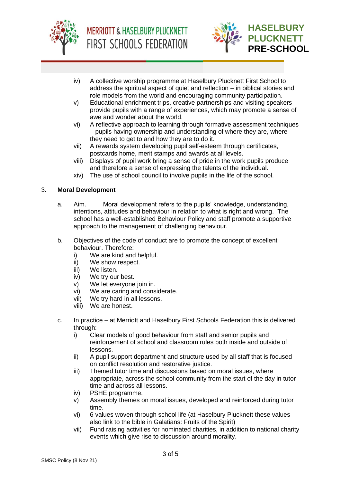



- iv) A collective worship programme at Haselbury Plucknett First School to address the spiritual aspect of quiet and reflection – in biblical stories and role models from the world and encouraging community participation.
- v) Educational enrichment trips, creative partnerships and visiting speakers provide pupils with a range of experiences, which may promote a sense of awe and wonder about the world.
- vi) A reflective approach to learning through formative assessment techniques – pupils having ownership and understanding of where they are, where they need to get to and how they are to do it.
- vii) A rewards system developing pupil self-esteem through certificates, postcards home, merit stamps and awards at all levels.
- viii) Displays of pupil work bring a sense of pride in the work pupils produce and therefore a sense of expressing the talents of the individual.
- xiv) The use of school council to involve pupils in the life of the school.

#### 3. **Moral Development**

- a. Aim. Moral development refers to the pupils' knowledge, understanding, intentions, attitudes and behaviour in relation to what is right and wrong. The school has a well-established Behaviour Policy and staff promote a supportive approach to the management of challenging behaviour.
- b. Objectives of the code of conduct are to promote the concept of excellent behaviour. Therefore:
	- i) We are kind and helpful.
	- ii) We show respect.
	- iii) We listen.
	- iv) We try our best.
	- v) We let everyone join in.
	- vi) We are caring and considerate.
	- vii) We try hard in all lessons.
	- viii) We are honest.
- c. In practice at Merriott and Haselbury First Schools Federation this is delivered through:
	- i) Clear models of good behaviour from staff and senior pupils and reinforcement of school and classroom rules both inside and outside of lessons.
	- ii) A pupil support department and structure used by all staff that is focused on conflict resolution and restorative justice.
	- iii) Themed tutor time and discussions based on moral issues, where appropriate, across the school community from the start of the day in tutor time and across all lessons.
	- iv) PSHE programme.
	- v) Assembly themes on moral issues, developed and reinforced during tutor time.
	- vi) 6 values woven through school life (at Haselbury Plucknett these values also link to the bible in Galatians: Fruits of the Spirit)
	- vii) Fund raising activities for nominated charities, in addition to national charity events which give rise to discussion around morality.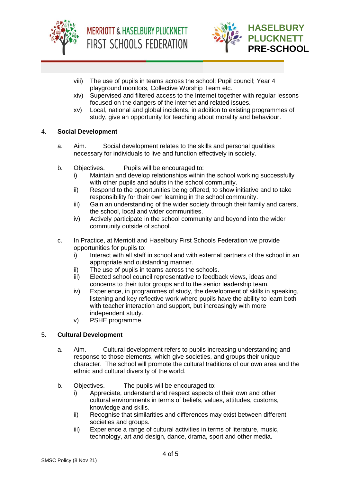



- viii) The use of pupils in teams across the school: Pupil council; Year 4 playground monitors, Collective Worship Team etc.
- xiv) Supervised and filtered access to the Internet together with regular lessons focused on the dangers of the internet and related issues.
- xv) Local, national and global incidents, in addition to existing programmes of study, give an opportunity for teaching about morality and behaviour.

#### 4. **Social Development**

- a. Aim. Social development relates to the skills and personal qualities necessary for individuals to live and function effectively in society.
- b. Objectives. Pupils will be encouraged to:
	- i) Maintain and develop relationships within the school working successfully with other pupils and adults in the school community.
	- ii) Respond to the opportunities being offered, to show initiative and to take responsibility for their own learning in the school community.
	- iii) Gain an understanding of the wider society through their family and carers, the school, local and wider communities.
	- iv) Actively participate in the school community and beyond into the wider community outside of school.
- c. In Practice, at Merriott and Haselbury First Schools Federation we provide opportunities for pupils to:
	- i) Interact with all staff in school and with external partners of the school in an appropriate and outstanding manner.
	- ii) The use of pupils in teams across the schools.
	- iii) Elected school council representative to feedback views, ideas and concerns to their tutor groups and to the senior leadership team.
	- iv) Experience, in programmes of study, the development of skills in speaking, listening and key reflective work where pupils have the ability to learn both with teacher interaction and support, but increasingly with more independent study.
	- v) PSHE programme.

## 5. **Cultural Development**

- a. Aim. Cultural development refers to pupils increasing understanding and response to those elements, which give societies, and groups their unique character. The school will promote the cultural traditions of our own area and the ethnic and cultural diversity of the world.
- b. Objectives. The pupils will be encouraged to:
	- i) Appreciate, understand and respect aspects of their own and other cultural environments in terms of beliefs, values, attitudes, customs, knowledge and skills.
	- ii) Recognise that similarities and differences may exist between different societies and groups.
	- iii) Experience a range of cultural activities in terms of literature, music, technology, art and design, dance, drama, sport and other media.